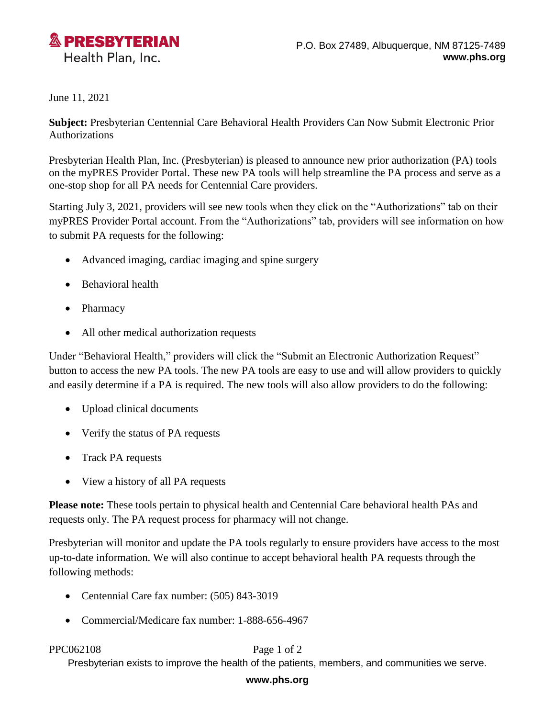

June 11, 2021

**Subject:** Presbyterian Centennial Care Behavioral Health Providers Can Now Submit Electronic Prior Authorizations

Presbyterian Health Plan, Inc. (Presbyterian) is pleased to announce new prior authorization (PA) tools on the myPRES Provider Portal. These new PA tools will help streamline the PA process and serve as a one-stop shop for all PA needs for Centennial Care providers.

Starting July 3, 2021, providers will see new tools when they click on the "Authorizations" tab on their myPRES Provider Portal account. From the "Authorizations" tab, providers will see information on how to submit PA requests for the following:

- Advanced imaging, cardiac imaging and spine surgery
- Behavioral health
- **Pharmacy**
- All other medical authorization requests

Under "Behavioral Health," providers will click the "Submit an Electronic Authorization Request" button to access the new PA tools. The new PA tools are easy to use and will allow providers to quickly and easily determine if a PA is required. The new tools will also allow providers to do the following:

- Upload clinical documents
- Verify the status of PA requests
- Track PA requests
- View a history of all PA requests

**Please note:** These tools pertain to physical health and Centennial Care behavioral health PAs and requests only. The PA request process for pharmacy will not change.

Presbyterian will monitor and update the PA tools regularly to ensure providers have access to the most up-to-date information. We will also continue to accept behavioral health PA requests through the following methods:

- Centennial Care fax number: (505) 843-3019
- Commercial/Medicare fax number: 1-888-656-4967

## PPC062108 Page 1 of 2

Presbyterian exists to improve the health of the patients, members, and communities we serve.

## **www.phs.org**